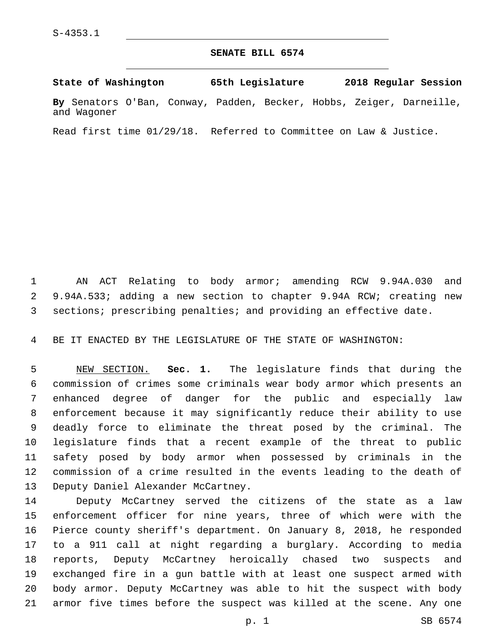## **SENATE BILL 6574**

**State of Washington 65th Legislature 2018 Regular Session By** Senators O'Ban, Conway, Padden, Becker, Hobbs, Zeiger, Darneille, and Wagoner

Read first time 01/29/18. Referred to Committee on Law & Justice.

 AN ACT Relating to body armor; amending RCW 9.94A.030 and 9.94A.533; adding a new section to chapter 9.94A RCW; creating new sections; prescribing penalties; and providing an effective date.

BE IT ENACTED BY THE LEGISLATURE OF THE STATE OF WASHINGTON:

 NEW SECTION. **Sec. 1.** The legislature finds that during the commission of crimes some criminals wear body armor which presents an enhanced degree of danger for the public and especially law enforcement because it may significantly reduce their ability to use deadly force to eliminate the threat posed by the criminal. The legislature finds that a recent example of the threat to public safety posed by body armor when possessed by criminals in the commission of a crime resulted in the events leading to the death of Deputy Daniel Alexander McCartney.

 Deputy McCartney served the citizens of the state as a law enforcement officer for nine years, three of which were with the Pierce county sheriff's department. On January 8, 2018, he responded to a 911 call at night regarding a burglary. According to media reports, Deputy McCartney heroically chased two suspects and exchanged fire in a gun battle with at least one suspect armed with body armor. Deputy McCartney was able to hit the suspect with body armor five times before the suspect was killed at the scene. Any one

p. 1 SB 6574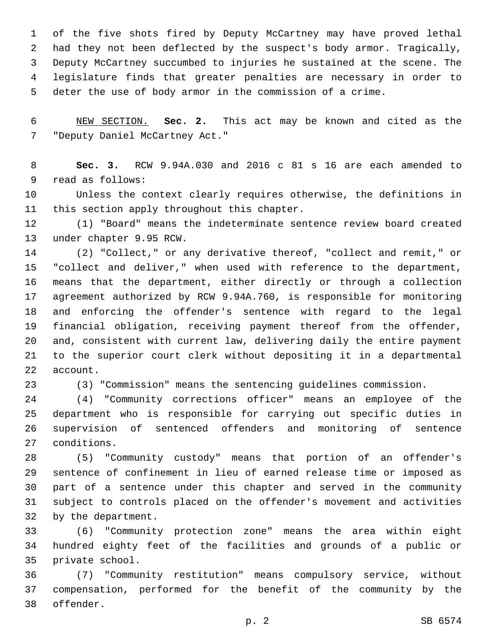of the five shots fired by Deputy McCartney may have proved lethal had they not been deflected by the suspect's body armor. Tragically, Deputy McCartney succumbed to injuries he sustained at the scene. The legislature finds that greater penalties are necessary in order to deter the use of body armor in the commission of a crime.

 NEW SECTION. **Sec. 2.** This act may be known and cited as the "Deputy Daniel McCartney Act."

 **Sec. 3.** RCW 9.94A.030 and 2016 c 81 s 16 are each amended to 9 read as follows:

 Unless the context clearly requires otherwise, the definitions in 11 this section apply throughout this chapter.

 (1) "Board" means the indeterminate sentence review board created 13 under chapter 9.95 RCW.

 (2) "Collect," or any derivative thereof, "collect and remit," or "collect and deliver," when used with reference to the department, means that the department, either directly or through a collection agreement authorized by RCW 9.94A.760, is responsible for monitoring and enforcing the offender's sentence with regard to the legal financial obligation, receiving payment thereof from the offender, and, consistent with current law, delivering daily the entire payment to the superior court clerk without depositing it in a departmental 22 account.

(3) "Commission" means the sentencing guidelines commission.

 (4) "Community corrections officer" means an employee of the department who is responsible for carrying out specific duties in supervision of sentenced offenders and monitoring of sentence 27 conditions.

 (5) "Community custody" means that portion of an offender's sentence of confinement in lieu of earned release time or imposed as part of a sentence under this chapter and served in the community subject to controls placed on the offender's movement and activities 32 by the department.

 (6) "Community protection zone" means the area within eight hundred eighty feet of the facilities and grounds of a public or 35 private school.

 (7) "Community restitution" means compulsory service, without compensation, performed for the benefit of the community by the 38 offender.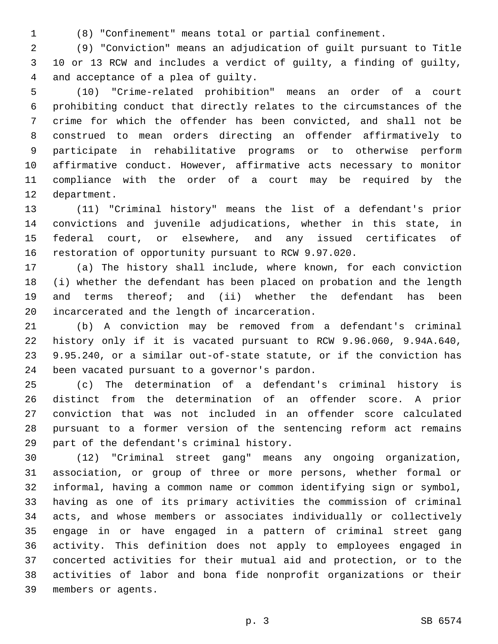(8) "Confinement" means total or partial confinement.

 (9) "Conviction" means an adjudication of guilt pursuant to Title 10 or 13 RCW and includes a verdict of guilty, a finding of guilty, 4 and acceptance of a plea of guilty.

 (10) "Crime-related prohibition" means an order of a court prohibiting conduct that directly relates to the circumstances of the crime for which the offender has been convicted, and shall not be construed to mean orders directing an offender affirmatively to participate in rehabilitative programs or to otherwise perform affirmative conduct. However, affirmative acts necessary to monitor compliance with the order of a court may be required by the 12 department.

 (11) "Criminal history" means the list of a defendant's prior convictions and juvenile adjudications, whether in this state, in federal court, or elsewhere, and any issued certificates of restoration of opportunity pursuant to RCW 9.97.020.

 (a) The history shall include, where known, for each conviction (i) whether the defendant has been placed on probation and the length and terms thereof; and (ii) whether the defendant has been 20 incarcerated and the length of incarceration.

 (b) A conviction may be removed from a defendant's criminal history only if it is vacated pursuant to RCW 9.96.060, 9.94A.640, 9.95.240, or a similar out-of-state statute, or if the conviction has 24 been vacated pursuant to a governor's pardon.

 (c) The determination of a defendant's criminal history is distinct from the determination of an offender score. A prior conviction that was not included in an offender score calculated pursuant to a former version of the sentencing reform act remains 29 part of the defendant's criminal history.

 (12) "Criminal street gang" means any ongoing organization, association, or group of three or more persons, whether formal or informal, having a common name or common identifying sign or symbol, having as one of its primary activities the commission of criminal acts, and whose members or associates individually or collectively engage in or have engaged in a pattern of criminal street gang activity. This definition does not apply to employees engaged in concerted activities for their mutual aid and protection, or to the activities of labor and bona fide nonprofit organizations or their 39 members or agents.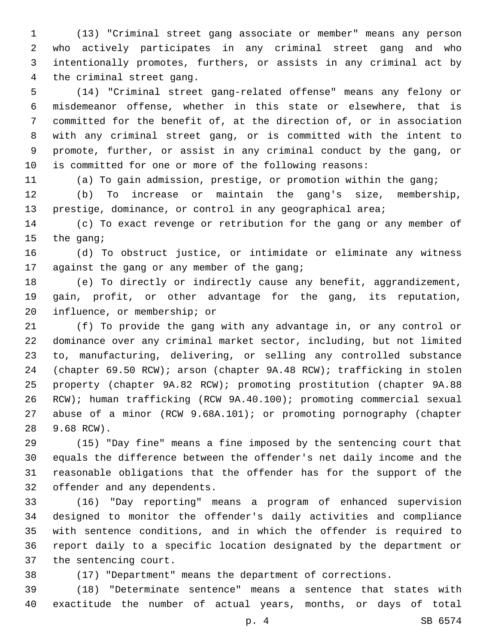(13) "Criminal street gang associate or member" means any person who actively participates in any criminal street gang and who intentionally promotes, furthers, or assists in any criminal act by 4 the criminal street gang.

 (14) "Criminal street gang-related offense" means any felony or misdemeanor offense, whether in this state or elsewhere, that is committed for the benefit of, at the direction of, or in association with any criminal street gang, or is committed with the intent to promote, further, or assist in any criminal conduct by the gang, or is committed for one or more of the following reasons:

(a) To gain admission, prestige, or promotion within the gang;

 (b) To increase or maintain the gang's size, membership, 13 prestige, dominance, or control in any geographical area;

 (c) To exact revenge or retribution for the gang or any member of 15 the gang;

 (d) To obstruct justice, or intimidate or eliminate any witness 17 against the gang or any member of the gang;

 (e) To directly or indirectly cause any benefit, aggrandizement, gain, profit, or other advantage for the gang, its reputation, 20 influence, or membership; or

 (f) To provide the gang with any advantage in, or any control or dominance over any criminal market sector, including, but not limited to, manufacturing, delivering, or selling any controlled substance (chapter 69.50 RCW); arson (chapter 9A.48 RCW); trafficking in stolen property (chapter 9A.82 RCW); promoting prostitution (chapter 9A.88 RCW); human trafficking (RCW 9A.40.100); promoting commercial sexual abuse of a minor (RCW 9.68A.101); or promoting pornography (chapter 9.68 RCW).28

 (15) "Day fine" means a fine imposed by the sentencing court that equals the difference between the offender's net daily income and the reasonable obligations that the offender has for the support of the 32 offender and any dependents.

 (16) "Day reporting" means a program of enhanced supervision designed to monitor the offender's daily activities and compliance with sentence conditions, and in which the offender is required to report daily to a specific location designated by the department or 37 the sentencing court.

(17) "Department" means the department of corrections.

 (18) "Determinate sentence" means a sentence that states with exactitude the number of actual years, months, or days of total

p. 4 SB 6574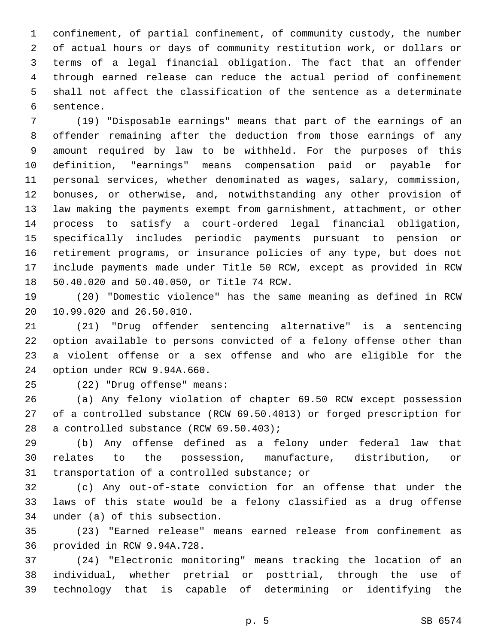confinement, of partial confinement, of community custody, the number of actual hours or days of community restitution work, or dollars or terms of a legal financial obligation. The fact that an offender through earned release can reduce the actual period of confinement shall not affect the classification of the sentence as a determinate 6 sentence.

 (19) "Disposable earnings" means that part of the earnings of an offender remaining after the deduction from those earnings of any amount required by law to be withheld. For the purposes of this definition, "earnings" means compensation paid or payable for personal services, whether denominated as wages, salary, commission, bonuses, or otherwise, and, notwithstanding any other provision of law making the payments exempt from garnishment, attachment, or other process to satisfy a court-ordered legal financial obligation, specifically includes periodic payments pursuant to pension or retirement programs, or insurance policies of any type, but does not include payments made under Title 50 RCW, except as provided in RCW 18 50.40.020 and 50.40.050, or Title 74 RCW.

 (20) "Domestic violence" has the same meaning as defined in RCW 20 10.99.020 and 26.50.010.

 (21) "Drug offender sentencing alternative" is a sentencing option available to persons convicted of a felony offense other than a violent offense or a sex offense and who are eligible for the 24 option under RCW 9.94A.660.

(22) "Drug offense" means:25

 (a) Any felony violation of chapter 69.50 RCW except possession of a controlled substance (RCW 69.50.4013) or forged prescription for 28 a controlled substance (RCW 69.50.403);

 (b) Any offense defined as a felony under federal law that relates to the possession, manufacture, distribution, or 31 transportation of a controlled substance; or

 (c) Any out-of-state conviction for an offense that under the laws of this state would be a felony classified as a drug offense 34 under (a) of this subsection.

 (23) "Earned release" means earned release from confinement as 36 provided in RCW 9.94A.728.

 (24) "Electronic monitoring" means tracking the location of an individual, whether pretrial or posttrial, through the use of technology that is capable of determining or identifying the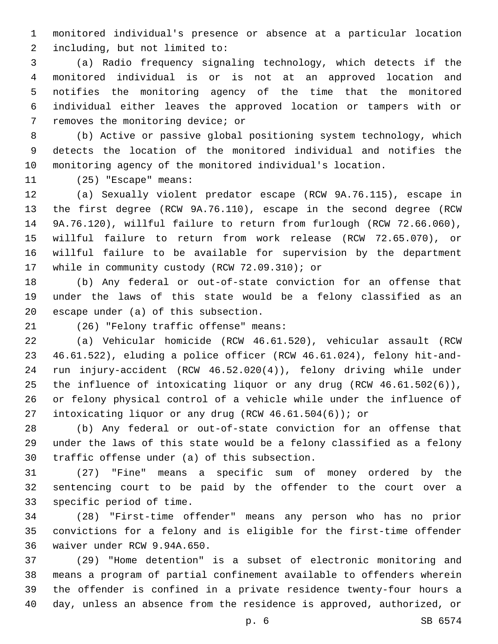monitored individual's presence or absence at a particular location 2 including, but not limited to:

 (a) Radio frequency signaling technology, which detects if the monitored individual is or is not at an approved location and notifies the monitoring agency of the time that the monitored individual either leaves the approved location or tampers with or 7 removes the monitoring device; or

 (b) Active or passive global positioning system technology, which detects the location of the monitored individual and notifies the monitoring agency of the monitored individual's location.

11 (25) "Escape" means:

 (a) Sexually violent predator escape (RCW 9A.76.115), escape in the first degree (RCW 9A.76.110), escape in the second degree (RCW 9A.76.120), willful failure to return from furlough (RCW 72.66.060), willful failure to return from work release (RCW 72.65.070), or willful failure to be available for supervision by the department 17 while in community custody (RCW 72.09.310); or

 (b) Any federal or out-of-state conviction for an offense that under the laws of this state would be a felony classified as an 20 escape under (a) of this subsection.

(26) "Felony traffic offense" means:21

 (a) Vehicular homicide (RCW 46.61.520), vehicular assault (RCW 46.61.522), eluding a police officer (RCW 46.61.024), felony hit-and- run injury-accident (RCW 46.52.020(4)), felony driving while under the influence of intoxicating liquor or any drug (RCW 46.61.502(6)), or felony physical control of a vehicle while under the influence of intoxicating liquor or any drug (RCW 46.61.504(6)); or

 (b) Any federal or out-of-state conviction for an offense that under the laws of this state would be a felony classified as a felony 30 traffic offense under (a) of this subsection.

 (27) "Fine" means a specific sum of money ordered by the sentencing court to be paid by the offender to the court over a 33 specific period of time.

 (28) "First-time offender" means any person who has no prior convictions for a felony and is eligible for the first-time offender 36 waiver under RCW 9.94A.650.

 (29) "Home detention" is a subset of electronic monitoring and means a program of partial confinement available to offenders wherein the offender is confined in a private residence twenty-four hours a day, unless an absence from the residence is approved, authorized, or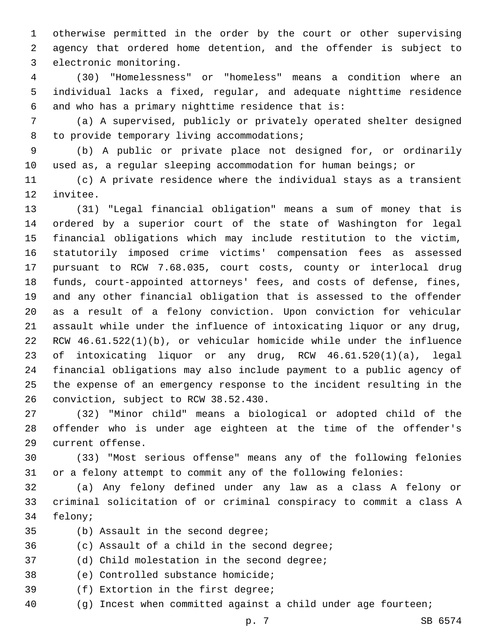otherwise permitted in the order by the court or other supervising agency that ordered home detention, and the offender is subject to 3 electronic monitoring.

 (30) "Homelessness" or "homeless" means a condition where an individual lacks a fixed, regular, and adequate nighttime residence 6 and who has a primary nighttime residence that is:

 (a) A supervised, publicly or privately operated shelter designed 8 to provide temporary living accommodations;

 (b) A public or private place not designed for, or ordinarily used as, a regular sleeping accommodation for human beings; or

 (c) A private residence where the individual stays as a transient 12 invitee.

 (31) "Legal financial obligation" means a sum of money that is ordered by a superior court of the state of Washington for legal financial obligations which may include restitution to the victim, statutorily imposed crime victims' compensation fees as assessed pursuant to RCW 7.68.035, court costs, county or interlocal drug funds, court-appointed attorneys' fees, and costs of defense, fines, and any other financial obligation that is assessed to the offender as a result of a felony conviction. Upon conviction for vehicular assault while under the influence of intoxicating liquor or any drug, RCW 46.61.522(1)(b), or vehicular homicide while under the influence of intoxicating liquor or any drug, RCW 46.61.520(1)(a), legal financial obligations may also include payment to a public agency of the expense of an emergency response to the incident resulting in the 26 conviction, subject to RCW 38.52.430.

 (32) "Minor child" means a biological or adopted child of the offender who is under age eighteen at the time of the offender's 29 current offense.

 (33) "Most serious offense" means any of the following felonies or a felony attempt to commit any of the following felonies:

 (a) Any felony defined under any law as a class A felony or criminal solicitation of or criminal conspiracy to commit a class A 34 felony;

- 35 (b) Assault in the second degree;
- 36 (c) Assault of a child in the second degree;

37 (d) Child molestation in the second degree;

38 (e) Controlled substance homicide;

- 39 (f) Extortion in the first degree;
- (g) Incest when committed against a child under age fourteen;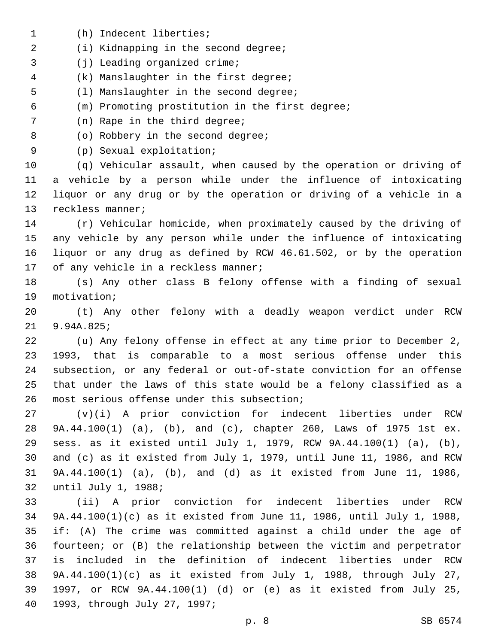1 (h) Indecent liberties; 2 (i) Kidnapping in the second degree; 3 (j) Leading organized crime; (k) Manslaughter in the first degree;4 5 (1) Manslaughter in the second degree; (m) Promoting prostitution in the first degree; 7 (n) Rape in the third degree; 8 (o) Robbery in the second degree; (p) Sexual exploitation;9 (q) Vehicular assault, when caused by the operation or driving of a vehicle by a person while under the influence of intoxicating liquor or any drug or by the operation or driving of a vehicle in a 13 reckless manner; (r) Vehicular homicide, when proximately caused by the driving of any vehicle by any person while under the influence of intoxicating liquor or any drug as defined by RCW 46.61.502, or by the operation 17 of any vehicle in a reckless manner; (s) Any other class B felony offense with a finding of sexual 19 motivation; (t) Any other felony with a deadly weapon verdict under RCW 21 9.94A.825; (u) Any felony offense in effect at any time prior to December 2, 1993, that is comparable to a most serious offense under this subsection, or any federal or out-of-state conviction for an offense that under the laws of this state would be a felony classified as a 26 most serious offense under this subsection; (v)(i) A prior conviction for indecent liberties under RCW 9A.44.100(1) (a), (b), and (c), chapter 260, Laws of 1975 1st ex. sess. as it existed until July 1, 1979, RCW 9A.44.100(1) (a), (b), and (c) as it existed from July 1, 1979, until June 11, 1986, and RCW 9A.44.100(1) (a), (b), and (d) as it existed from June 11, 1986, 32 until July 1, 1988; (ii) A prior conviction for indecent liberties under RCW 9A.44.100(1)(c) as it existed from June 11, 1986, until July 1, 1988, if: (A) The crime was committed against a child under the age of fourteen; or (B) the relationship between the victim and perpetrator is included in the definition of indecent liberties under RCW 9A.44.100(1)(c) as it existed from July 1, 1988, through July 27, 1997, or RCW 9A.44.100(1) (d) or (e) as it existed from July 25, 1993, through July 27, 1997;40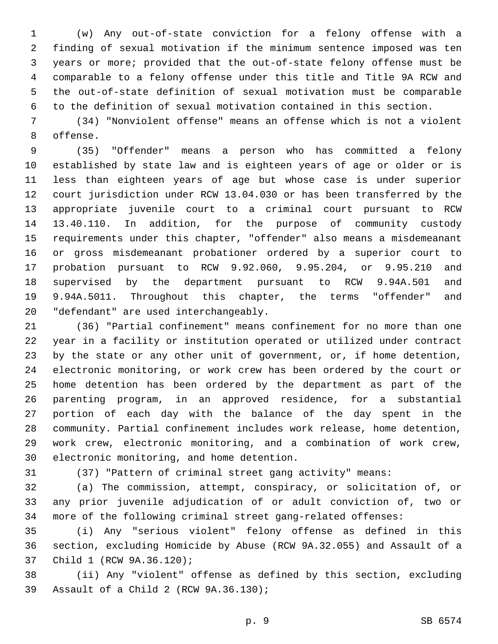(w) Any out-of-state conviction for a felony offense with a finding of sexual motivation if the minimum sentence imposed was ten years or more; provided that the out-of-state felony offense must be comparable to a felony offense under this title and Title 9A RCW and the out-of-state definition of sexual motivation must be comparable to the definition of sexual motivation contained in this section.

 (34) "Nonviolent offense" means an offense which is not a violent 8 offense.

 (35) "Offender" means a person who has committed a felony established by state law and is eighteen years of age or older or is less than eighteen years of age but whose case is under superior court jurisdiction under RCW 13.04.030 or has been transferred by the appropriate juvenile court to a criminal court pursuant to RCW 13.40.110. In addition, for the purpose of community custody requirements under this chapter, "offender" also means a misdemeanant or gross misdemeanant probationer ordered by a superior court to probation pursuant to RCW 9.92.060, 9.95.204, or 9.95.210 and supervised by the department pursuant to RCW 9.94A.501 and 9.94A.5011. Throughout this chapter, the terms "offender" and 20 "defendant" are used interchangeably.

 (36) "Partial confinement" means confinement for no more than one year in a facility or institution operated or utilized under contract by the state or any other unit of government, or, if home detention, electronic monitoring, or work crew has been ordered by the court or home detention has been ordered by the department as part of the parenting program, in an approved residence, for a substantial portion of each day with the balance of the day spent in the community. Partial confinement includes work release, home detention, work crew, electronic monitoring, and a combination of work crew, 30 electronic monitoring, and home detention.

(37) "Pattern of criminal street gang activity" means:

 (a) The commission, attempt, conspiracy, or solicitation of, or any prior juvenile adjudication of or adult conviction of, two or more of the following criminal street gang-related offenses:

 (i) Any "serious violent" felony offense as defined in this section, excluding Homicide by Abuse (RCW 9A.32.055) and Assault of a 37 Child 1 (RCW 9A.36.120);

 (ii) Any "violent" offense as defined by this section, excluding 39 Assault of a Child 2 (RCW 9A.36.130);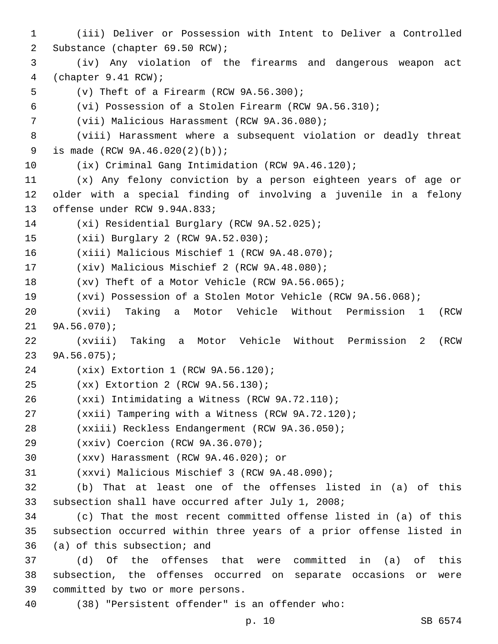1 (iii) Deliver or Possession with Intent to Deliver a Controlled 2 Substance (chapter 69.50 RCW); 3 (iv) Any violation of the firearms and dangerous weapon act 4 (chapter 9.41 RCW);  $5$  (v) Theft of a Firearm (RCW 9A.56.300); 6 (vi) Possession of a Stolen Firearm (RCW 9A.56.310); 7 (vii) Malicious Harassment (RCW 9A.36.080); 8 (viii) Harassment where a subsequent violation or deadly threat 9 is made (RCW 9A.46.020(2)(b)); 10 (ix) Criminal Gang Intimidation (RCW 9A.46.120); 11 (x) Any felony conviction by a person eighteen years of age or 12 older with a special finding of involving a juvenile in a felony 13 offense under RCW 9.94A.833; 14 (xi) Residential Burglary (RCW 9A.52.025); 15 (xii) Burglary 2 (RCW 9A.52.030); 16 (xiii) Malicious Mischief 1 (RCW 9A.48.070); 17 (xiv) Malicious Mischief 2 (RCW 9A.48.080); 18 (xv) Theft of a Motor Vehicle (RCW 9A.56.065); 19 (xvi) Possession of a Stolen Motor Vehicle (RCW 9A.56.068); 20 (xvii) Taking a Motor Vehicle Without Permission 1 (RCW  $21$  9A.56.070); 22 (xviii) Taking a Motor Vehicle Without Permission 2 (RCW 23 9A.56.075); 24 (xix) Extortion 1 (RCW 9A.56.120); 25 (xx) Extortion 2 (RCW 9A.56.130); (xxi) Intimidating a Witness (RCW 9A.72.110);26 27 (xxii) Tampering with a Witness (RCW 9A.72.120); 28 (xxiii) Reckless Endangerment (RCW 9A.36.050); 29 (xxiv) Coercion (RCW 9A.36.070); (xxv) Harassment (RCW 9A.46.020); or30 31 (xxvi) Malicious Mischief 3 (RCW 9A.48.090); 32 (b) That at least one of the offenses listed in (a) of this 33 subsection shall have occurred after July 1, 2008; 34 (c) That the most recent committed offense listed in (a) of this 35 subsection occurred within three years of a prior offense listed in 36 (a) of this subsection; and 37 (d) Of the offenses that were committed in (a) of this 38 subsection, the offenses occurred on separate occasions or were 39 committed by two or more persons. 40 (38) "Persistent offender" is an offender who: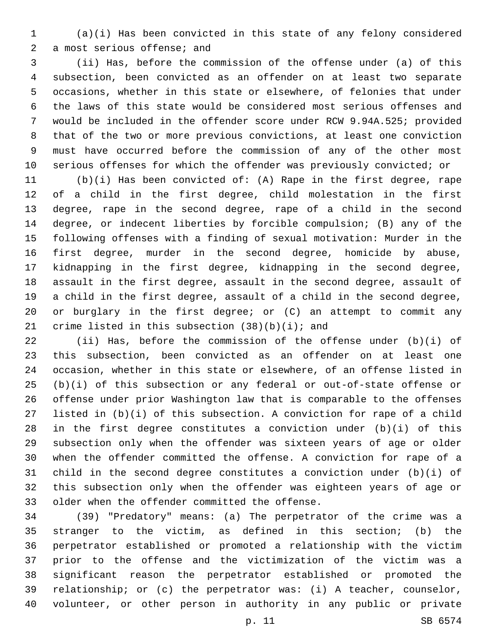(a)(i) Has been convicted in this state of any felony considered 2 a most serious offense; and

 (ii) Has, before the commission of the offense under (a) of this subsection, been convicted as an offender on at least two separate occasions, whether in this state or elsewhere, of felonies that under the laws of this state would be considered most serious offenses and would be included in the offender score under RCW 9.94A.525; provided that of the two or more previous convictions, at least one conviction must have occurred before the commission of any of the other most serious offenses for which the offender was previously convicted; or

 (b)(i) Has been convicted of: (A) Rape in the first degree, rape of a child in the first degree, child molestation in the first degree, rape in the second degree, rape of a child in the second degree, or indecent liberties by forcible compulsion; (B) any of the following offenses with a finding of sexual motivation: Murder in the first degree, murder in the second degree, homicide by abuse, kidnapping in the first degree, kidnapping in the second degree, assault in the first degree, assault in the second degree, assault of a child in the first degree, assault of a child in the second degree, or burglary in the first degree; or (C) an attempt to commit any 21 crime listed in this subsection  $(38)(b)(i)$ ; and

 (ii) Has, before the commission of the offense under (b)(i) of this subsection, been convicted as an offender on at least one occasion, whether in this state or elsewhere, of an offense listed in (b)(i) of this subsection or any federal or out-of-state offense or offense under prior Washington law that is comparable to the offenses listed in (b)(i) of this subsection. A conviction for rape of a child in the first degree constitutes a conviction under (b)(i) of this subsection only when the offender was sixteen years of age or older when the offender committed the offense. A conviction for rape of a child in the second degree constitutes a conviction under (b)(i) of this subsection only when the offender was eighteen years of age or 33 older when the offender committed the offense.

 (39) "Predatory" means: (a) The perpetrator of the crime was a stranger to the victim, as defined in this section; (b) the perpetrator established or promoted a relationship with the victim prior to the offense and the victimization of the victim was a significant reason the perpetrator established or promoted the relationship; or (c) the perpetrator was: (i) A teacher, counselor, volunteer, or other person in authority in any public or private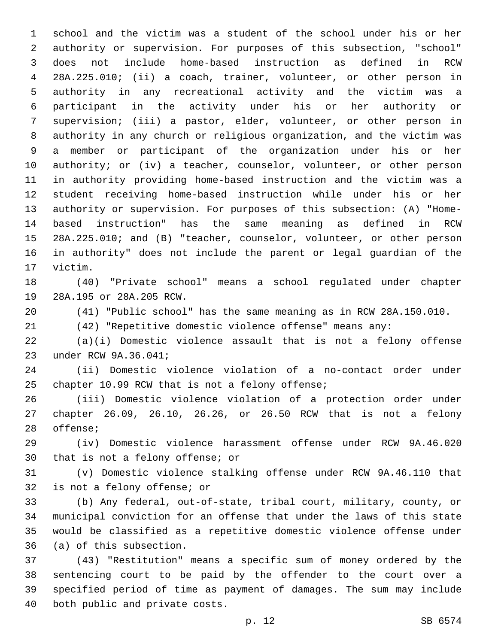school and the victim was a student of the school under his or her authority or supervision. For purposes of this subsection, "school" does not include home-based instruction as defined in RCW 28A.225.010; (ii) a coach, trainer, volunteer, or other person in authority in any recreational activity and the victim was a participant in the activity under his or her authority or supervision; (iii) a pastor, elder, volunteer, or other person in authority in any church or religious organization, and the victim was a member or participant of the organization under his or her authority; or (iv) a teacher, counselor, volunteer, or other person in authority providing home-based instruction and the victim was a student receiving home-based instruction while under his or her authority or supervision. For purposes of this subsection: (A) "Home- based instruction" has the same meaning as defined in RCW 28A.225.010; and (B) "teacher, counselor, volunteer, or other person in authority" does not include the parent or legal guardian of the 17 victim.

 (40) "Private school" means a school regulated under chapter 19 28A.195 or 28A.205 RCW.

(41) "Public school" has the same meaning as in RCW 28A.150.010.

(42) "Repetitive domestic violence offense" means any:

 (a)(i) Domestic violence assault that is not a felony offense 23 under RCW 9A.36.041;

 (ii) Domestic violence violation of a no-contact order under 25 chapter 10.99 RCW that is not a felony offense;

 (iii) Domestic violence violation of a protection order under chapter 26.09, 26.10, 26.26, or 26.50 RCW that is not a felony 28 offense;

 (iv) Domestic violence harassment offense under RCW 9A.46.020 30 that is not a felony offense; or

 (v) Domestic violence stalking offense under RCW 9A.46.110 that 32 is not a felony offense; or

 (b) Any federal, out-of-state, tribal court, military, county, or municipal conviction for an offense that under the laws of this state would be classified as a repetitive domestic violence offense under 36 (a) of this subsection.

 (43) "Restitution" means a specific sum of money ordered by the sentencing court to be paid by the offender to the court over a specified period of time as payment of damages. The sum may include 40 both public and private costs.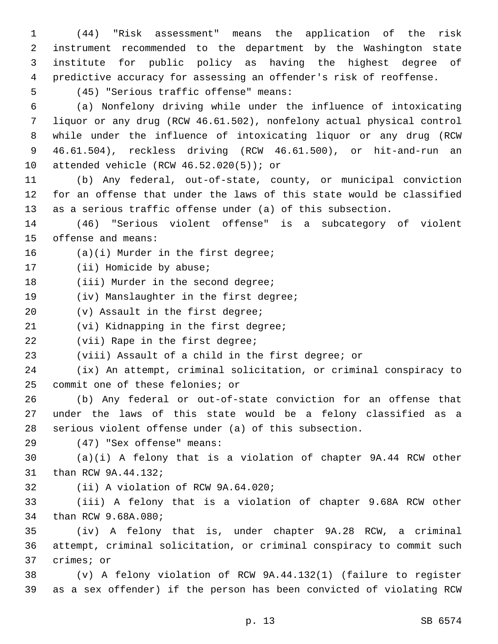(44) "Risk assessment" means the application of the risk instrument recommended to the department by the Washington state institute for public policy as having the highest degree of predictive accuracy for assessing an offender's risk of reoffense.

(45) "Serious traffic offense" means:5

 (a) Nonfelony driving while under the influence of intoxicating liquor or any drug (RCW 46.61.502), nonfelony actual physical control while under the influence of intoxicating liquor or any drug (RCW 46.61.504), reckless driving (RCW 46.61.500), or hit-and-run an 10 attended vehicle (RCW  $46.52.020(5)$ ); or

11 (b) Any federal, out-of-state, county, or municipal conviction 12 for an offense that under the laws of this state would be classified 13 as a serious traffic offense under (a) of this subsection.

14 (46) "Serious violent offense" is a subcategory of violent 15 offense and means:

16 (a)(i) Murder in the first degree;

17 (ii) Homicide by abuse;

18 (iii) Murder in the second degree;

19 (iv) Manslaughter in the first degree;

20 (v) Assault in the first degree;

21 (vi) Kidnapping in the first degree;

22 (vii) Rape in the first degree;

23 (viii) Assault of a child in the first degree; or

24 (ix) An attempt, criminal solicitation, or criminal conspiracy to 25 commit one of these felonies; or

26 (b) Any federal or out-of-state conviction for an offense that 27 under the laws of this state would be a felony classified as a 28 serious violent offense under (a) of this subsection.

(47) "Sex offense" means:29

30 (a)(i) A felony that is a violation of chapter 9A.44 RCW other 31 than RCW 9A.44.132;

32 (ii) A violation of RCW 9A.64.020;

33 (iii) A felony that is a violation of chapter 9.68A RCW other 34 than RCW 9.68A.080;

35 (iv) A felony that is, under chapter 9A.28 RCW, a criminal 36 attempt, criminal solicitation, or criminal conspiracy to commit such 37 crimes; or

38 (v) A felony violation of RCW 9A.44.132(1) (failure to register 39 as a sex offender) if the person has been convicted of violating RCW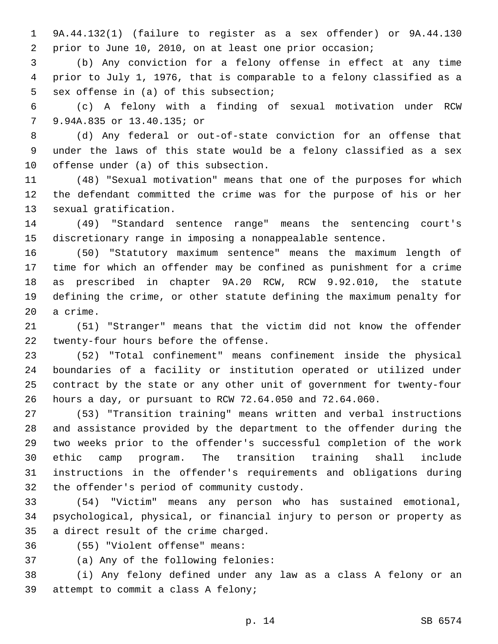9A.44.132(1) (failure to register as a sex offender) or 9A.44.130 prior to June 10, 2010, on at least one prior occasion;

 (b) Any conviction for a felony offense in effect at any time prior to July 1, 1976, that is comparable to a felony classified as a 5 sex offense in (a) of this subsection;

 (c) A felony with a finding of sexual motivation under RCW 9.94A.835 or 13.40.135; or7

 (d) Any federal or out-of-state conviction for an offense that under the laws of this state would be a felony classified as a sex 10 offense under  $(a)$  of this subsection.

 (48) "Sexual motivation" means that one of the purposes for which the defendant committed the crime was for the purpose of his or her 13 sexual gratification.

 (49) "Standard sentence range" means the sentencing court's discretionary range in imposing a nonappealable sentence.

 (50) "Statutory maximum sentence" means the maximum length of time for which an offender may be confined as punishment for a crime as prescribed in chapter 9A.20 RCW, RCW 9.92.010, the statute defining the crime, or other statute defining the maximum penalty for 20 a crime.

 (51) "Stranger" means that the victim did not know the offender 22 twenty-four hours before the offense.

 (52) "Total confinement" means confinement inside the physical boundaries of a facility or institution operated or utilized under contract by the state or any other unit of government for twenty-four hours a day, or pursuant to RCW 72.64.050 and 72.64.060.

 (53) "Transition training" means written and verbal instructions and assistance provided by the department to the offender during the two weeks prior to the offender's successful completion of the work ethic camp program. The transition training shall include instructions in the offender's requirements and obligations during 32 the offender's period of community custody.

 (54) "Victim" means any person who has sustained emotional, psychological, physical, or financial injury to person or property as 35 a direct result of the crime charged.

(55) "Violent offense" means:36

37 (a) Any of the following felonies:

 (i) Any felony defined under any law as a class A felony or an 39 attempt to commit a class A felony;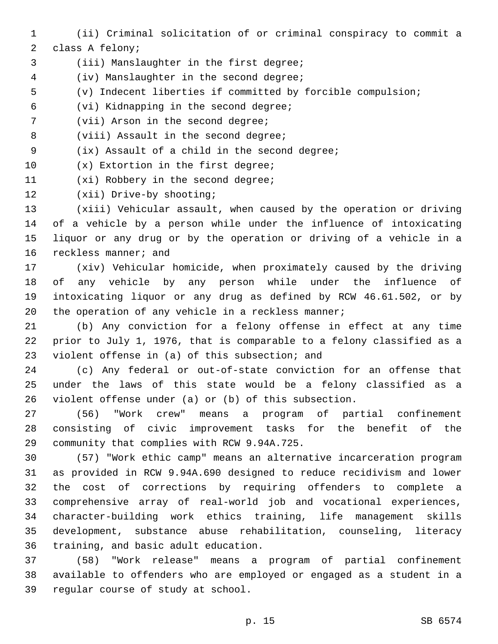- 1 (ii) Criminal solicitation of or criminal conspiracy to commit a
- 2 class A felony;
- 3 (iii) Manslaughter in the first degree;
- 4 (iv) Manslaughter in the second degree;
- 5 (v) Indecent liberties if committed by forcible compulsion;
- (vi) Kidnapping in the second degree;6
- 7 (vii) Arson in the second degree;
- 8 (viii) Assault in the second degree;
- 9 (ix) Assault of a child in the second degree;
- 10 (x) Extortion in the first degree;
- 11 (xi) Robbery in the second degree;
- 12 (xii) Drive-by shooting;

 (xiii) Vehicular assault, when caused by the operation or driving of a vehicle by a person while under the influence of intoxicating liquor or any drug or by the operation or driving of a vehicle in a 16 reckless manner; and

 (xiv) Vehicular homicide, when proximately caused by the driving of any vehicle by any person while under the influence of intoxicating liquor or any drug as defined by RCW 46.61.502, or by 20 the operation of any vehicle in a reckless manner;

21 (b) Any conviction for a felony offense in effect at any time 22 prior to July 1, 1976, that is comparable to a felony classified as a 23 violent offense in (a) of this subsection; and

24 (c) Any federal or out-of-state conviction for an offense that 25 under the laws of this state would be a felony classified as a 26 violent offense under (a) or (b) of this subsection.

27 (56) "Work crew" means a program of partial confinement 28 consisting of civic improvement tasks for the benefit of the 29 community that complies with RCW 9.94A.725.

 (57) "Work ethic camp" means an alternative incarceration program as provided in RCW 9.94A.690 designed to reduce recidivism and lower the cost of corrections by requiring offenders to complete a comprehensive array of real-world job and vocational experiences, character-building work ethics training, life management skills development, substance abuse rehabilitation, counseling, literacy 36 training, and basic adult education.

37 (58) "Work release" means a program of partial confinement 38 available to offenders who are employed or engaged as a student in a 39 regular course of study at school.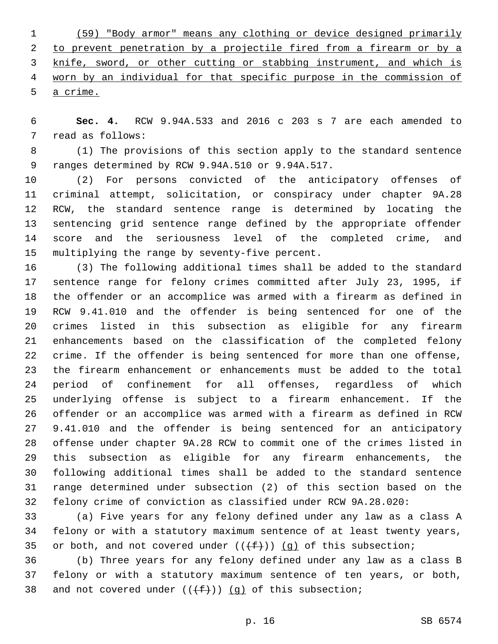(59) "Body armor" means any clothing or device designed primarily 2 to prevent penetration by a projectile fired from a firearm or by a knife, sword, or other cutting or stabbing instrument, and which is worn by an individual for that specific purpose in the commission of a crime.

 **Sec. 4.** RCW 9.94A.533 and 2016 c 203 s 7 are each amended to 7 read as follows:

 (1) The provisions of this section apply to the standard sentence 9 ranges determined by RCW 9.94A.510 or 9.94A.517.

 (2) For persons convicted of the anticipatory offenses of criminal attempt, solicitation, or conspiracy under chapter 9A.28 RCW, the standard sentence range is determined by locating the sentencing grid sentence range defined by the appropriate offender score and the seriousness level of the completed crime, and 15 multiplying the range by seventy-five percent.

 (3) The following additional times shall be added to the standard sentence range for felony crimes committed after July 23, 1995, if the offender or an accomplice was armed with a firearm as defined in RCW 9.41.010 and the offender is being sentenced for one of the crimes listed in this subsection as eligible for any firearm enhancements based on the classification of the completed felony crime. If the offender is being sentenced for more than one offense, the firearm enhancement or enhancements must be added to the total period of confinement for all offenses, regardless of which underlying offense is subject to a firearm enhancement. If the offender or an accomplice was armed with a firearm as defined in RCW 9.41.010 and the offender is being sentenced for an anticipatory offense under chapter 9A.28 RCW to commit one of the crimes listed in this subsection as eligible for any firearm enhancements, the following additional times shall be added to the standard sentence range determined under subsection (2) of this section based on the felony crime of conviction as classified under RCW 9A.28.020:

 (a) Five years for any felony defined under any law as a class A felony or with a statutory maximum sentence of at least twenty years, 35 or both, and not covered under  $((+f))$  (g) of this subsection;

 (b) Three years for any felony defined under any law as a class B felony or with a statutory maximum sentence of ten years, or both, 38 and not covered under  $((f+))$  (g) of this subsection;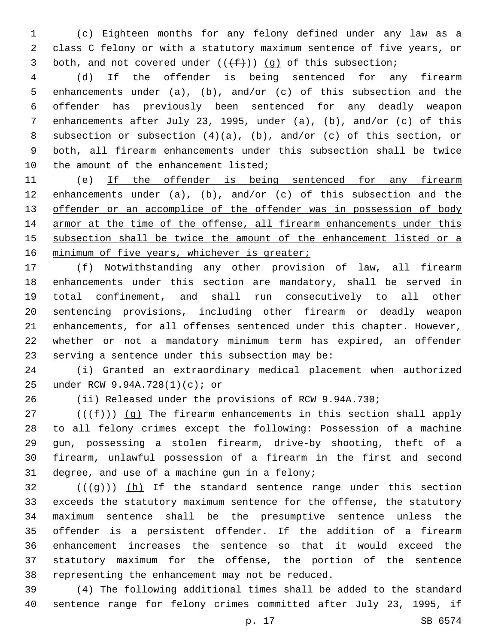(c) Eighteen months for any felony defined under any law as a class C felony or with a statutory maximum sentence of five years, or 3 both, and not covered under  $((+f))$  (g) of this subsection;

 (d) If the offender is being sentenced for any firearm enhancements under (a), (b), and/or (c) of this subsection and the offender has previously been sentenced for any deadly weapon enhancements after July 23, 1995, under (a), (b), and/or (c) of this subsection or subsection (4)(a), (b), and/or (c) of this section, or both, all firearm enhancements under this subsection shall be twice 10 the amount of the enhancement listed;

 (e) If the offender is being sentenced for any firearm enhancements under (a), (b), and/or (c) of this subsection and the 13 offender or an accomplice of the offender was in possession of body armor at the time of the offense, all firearm enhancements under this subsection shall be twice the amount of the enhancement listed or a 16 minimum of five years, whichever is greater;

 (f) Notwithstanding any other provision of law, all firearm enhancements under this section are mandatory, shall be served in total confinement, and shall run consecutively to all other sentencing provisions, including other firearm or deadly weapon enhancements, for all offenses sentenced under this chapter. However, whether or not a mandatory minimum term has expired, an offender serving a sentence under this subsection may be:

 (i) Granted an extraordinary medical placement when authorized under RCW 9.94A.728(1)(c); or25

(ii) Released under the provisions of RCW 9.94A.730;

 (( $(f+)$ ) (g) The firearm enhancements in this section shall apply to all felony crimes except the following: Possession of a machine gun, possessing a stolen firearm, drive-by shooting, theft of a firearm, unlawful possession of a firearm in the first and second 31 degree, and use of a machine gun in a felony;

 (( $\left(\frac{1}{9}i\right)$ ) (h) If the standard sentence range under this section exceeds the statutory maximum sentence for the offense, the statutory maximum sentence shall be the presumptive sentence unless the offender is a persistent offender. If the addition of a firearm enhancement increases the sentence so that it would exceed the statutory maximum for the offense, the portion of the sentence 38 representing the enhancement may not be reduced.

 (4) The following additional times shall be added to the standard sentence range for felony crimes committed after July 23, 1995, if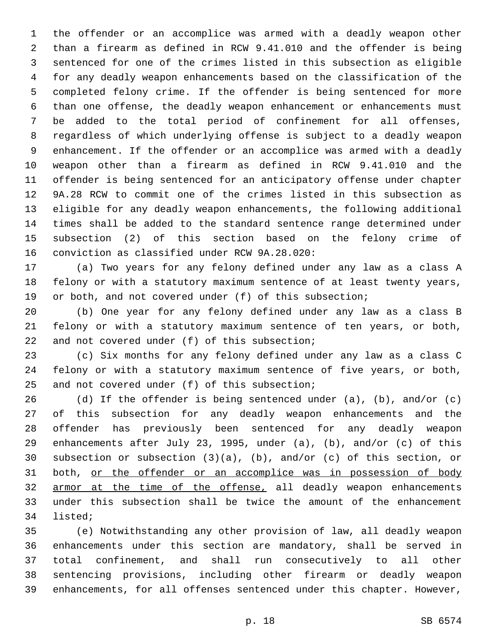the offender or an accomplice was armed with a deadly weapon other than a firearm as defined in RCW 9.41.010 and the offender is being sentenced for one of the crimes listed in this subsection as eligible for any deadly weapon enhancements based on the classification of the completed felony crime. If the offender is being sentenced for more than one offense, the deadly weapon enhancement or enhancements must be added to the total period of confinement for all offenses, regardless of which underlying offense is subject to a deadly weapon enhancement. If the offender or an accomplice was armed with a deadly weapon other than a firearm as defined in RCW 9.41.010 and the offender is being sentenced for an anticipatory offense under chapter 9A.28 RCW to commit one of the crimes listed in this subsection as eligible for any deadly weapon enhancements, the following additional times shall be added to the standard sentence range determined under subsection (2) of this section based on the felony crime of 16 conviction as classified under RCW 9A.28.020:

 (a) Two years for any felony defined under any law as a class A felony or with a statutory maximum sentence of at least twenty years, or both, and not covered under (f) of this subsection;

 (b) One year for any felony defined under any law as a class B felony or with a statutory maximum sentence of ten years, or both, 22 and not covered under (f) of this subsection;

 (c) Six months for any felony defined under any law as a class C felony or with a statutory maximum sentence of five years, or both, 25 and not covered under  $(f)$  of this subsection;

 (d) If the offender is being sentenced under (a), (b), and/or (c) of this subsection for any deadly weapon enhancements and the offender has previously been sentenced for any deadly weapon enhancements after July 23, 1995, under (a), (b), and/or (c) of this subsection or subsection (3)(a), (b), and/or (c) of this section, or both, or the offender or an accomplice was in possession of body 32 armor at the time of the offense, all deadly weapon enhancements under this subsection shall be twice the amount of the enhancement 34 listed;

 (e) Notwithstanding any other provision of law, all deadly weapon enhancements under this section are mandatory, shall be served in total confinement, and shall run consecutively to all other sentencing provisions, including other firearm or deadly weapon enhancements, for all offenses sentenced under this chapter. However,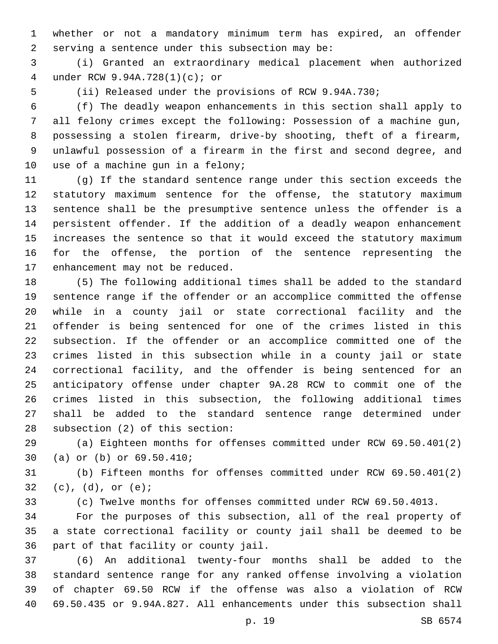whether or not a mandatory minimum term has expired, an offender serving a sentence under this subsection may be:

 (i) Granted an extraordinary medical placement when authorized under RCW 9.94A.728(1)(c); or4

(ii) Released under the provisions of RCW 9.94A.730;

 (f) The deadly weapon enhancements in this section shall apply to all felony crimes except the following: Possession of a machine gun, possessing a stolen firearm, drive-by shooting, theft of a firearm, unlawful possession of a firearm in the first and second degree, and 10 use of a machine gun in a felony;

 (g) If the standard sentence range under this section exceeds the statutory maximum sentence for the offense, the statutory maximum sentence shall be the presumptive sentence unless the offender is a persistent offender. If the addition of a deadly weapon enhancement increases the sentence so that it would exceed the statutory maximum for the offense, the portion of the sentence representing the 17 enhancement may not be reduced.

 (5) The following additional times shall be added to the standard sentence range if the offender or an accomplice committed the offense while in a county jail or state correctional facility and the offender is being sentenced for one of the crimes listed in this subsection. If the offender or an accomplice committed one of the crimes listed in this subsection while in a county jail or state correctional facility, and the offender is being sentenced for an anticipatory offense under chapter 9A.28 RCW to commit one of the crimes listed in this subsection, the following additional times shall be added to the standard sentence range determined under 28 subsection (2) of this section:

 (a) Eighteen months for offenses committed under RCW 69.50.401(2) 30 (a) or (b) or 69.50.410;

 (b) Fifteen months for offenses committed under RCW 69.50.401(2) 32 (c),  $(d)$ , or  $(e)$ ;

(c) Twelve months for offenses committed under RCW 69.50.4013.

 For the purposes of this subsection, all of the real property of a state correctional facility or county jail shall be deemed to be 36 part of that facility or county jail.

 (6) An additional twenty-four months shall be added to the standard sentence range for any ranked offense involving a violation of chapter 69.50 RCW if the offense was also a violation of RCW 69.50.435 or 9.94A.827. All enhancements under this subsection shall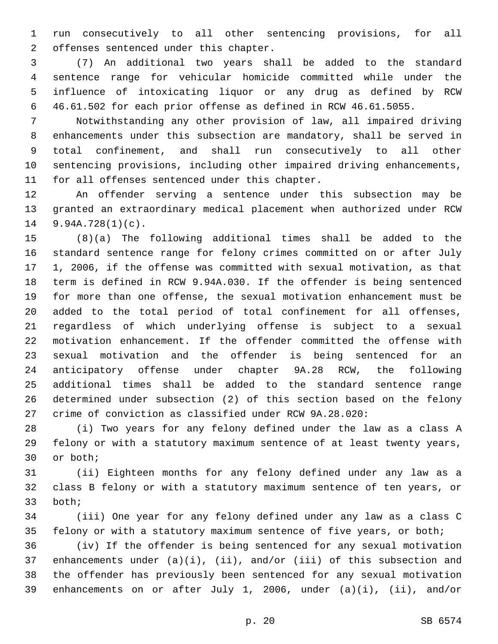run consecutively to all other sentencing provisions, for all 2 offenses sentenced under this chapter.

 (7) An additional two years shall be added to the standard sentence range for vehicular homicide committed while under the influence of intoxicating liquor or any drug as defined by RCW 46.61.502 for each prior offense as defined in RCW 46.61.5055.

 Notwithstanding any other provision of law, all impaired driving enhancements under this subsection are mandatory, shall be served in total confinement, and shall run consecutively to all other sentencing provisions, including other impaired driving enhancements, 11 for all offenses sentenced under this chapter.

 An offender serving a sentence under this subsection may be granted an extraordinary medical placement when authorized under RCW 9.94A.728(1)(c).

 (8)(a) The following additional times shall be added to the standard sentence range for felony crimes committed on or after July 1, 2006, if the offense was committed with sexual motivation, as that term is defined in RCW 9.94A.030. If the offender is being sentenced for more than one offense, the sexual motivation enhancement must be added to the total period of total confinement for all offenses, regardless of which underlying offense is subject to a sexual motivation enhancement. If the offender committed the offense with sexual motivation and the offender is being sentenced for an anticipatory offense under chapter 9A.28 RCW, the following additional times shall be added to the standard sentence range determined under subsection (2) of this section based on the felony crime of conviction as classified under RCW 9A.28.020:

 (i) Two years for any felony defined under the law as a class A felony or with a statutory maximum sentence of at least twenty years, 30 or both;

 (ii) Eighteen months for any felony defined under any law as a class B felony or with a statutory maximum sentence of ten years, or 33 both;

 (iii) One year for any felony defined under any law as a class C felony or with a statutory maximum sentence of five years, or both;

 (iv) If the offender is being sentenced for any sexual motivation enhancements under (a)(i), (ii), and/or (iii) of this subsection and the offender has previously been sentenced for any sexual motivation enhancements on or after July 1, 2006, under (a)(i), (ii), and/or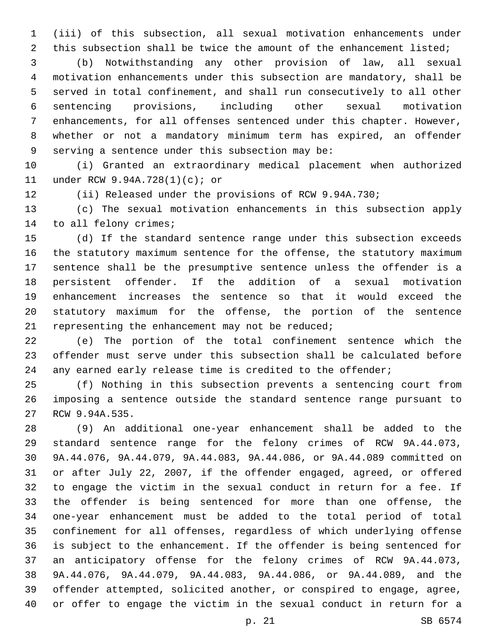(iii) of this subsection, all sexual motivation enhancements under 2 this subsection shall be twice the amount of the enhancement listed;

 (b) Notwithstanding any other provision of law, all sexual motivation enhancements under this subsection are mandatory, shall be served in total confinement, and shall run consecutively to all other sentencing provisions, including other sexual motivation enhancements, for all offenses sentenced under this chapter. However, whether or not a mandatory minimum term has expired, an offender 9 serving a sentence under this subsection may be:

 (i) Granted an extraordinary medical placement when authorized 11 under RCW 9.94A.728(1)(c); or

(ii) Released under the provisions of RCW 9.94A.730;

 (c) The sexual motivation enhancements in this subsection apply 14 to all felony crimes;

 (d) If the standard sentence range under this subsection exceeds the statutory maximum sentence for the offense, the statutory maximum sentence shall be the presumptive sentence unless the offender is a persistent offender. If the addition of a sexual motivation enhancement increases the sentence so that it would exceed the statutory maximum for the offense, the portion of the sentence 21 representing the enhancement may not be reduced;

 (e) The portion of the total confinement sentence which the offender must serve under this subsection shall be calculated before 24 any earned early release time is credited to the offender;

 (f) Nothing in this subsection prevents a sentencing court from imposing a sentence outside the standard sentence range pursuant to 27 RCW 9.94A.535.

 (9) An additional one-year enhancement shall be added to the standard sentence range for the felony crimes of RCW 9A.44.073, 9A.44.076, 9A.44.079, 9A.44.083, 9A.44.086, or 9A.44.089 committed on or after July 22, 2007, if the offender engaged, agreed, or offered to engage the victim in the sexual conduct in return for a fee. If the offender is being sentenced for more than one offense, the one-year enhancement must be added to the total period of total confinement for all offenses, regardless of which underlying offense is subject to the enhancement. If the offender is being sentenced for an anticipatory offense for the felony crimes of RCW 9A.44.073, 9A.44.076, 9A.44.079, 9A.44.083, 9A.44.086, or 9A.44.089, and the offender attempted, solicited another, or conspired to engage, agree, or offer to engage the victim in the sexual conduct in return for a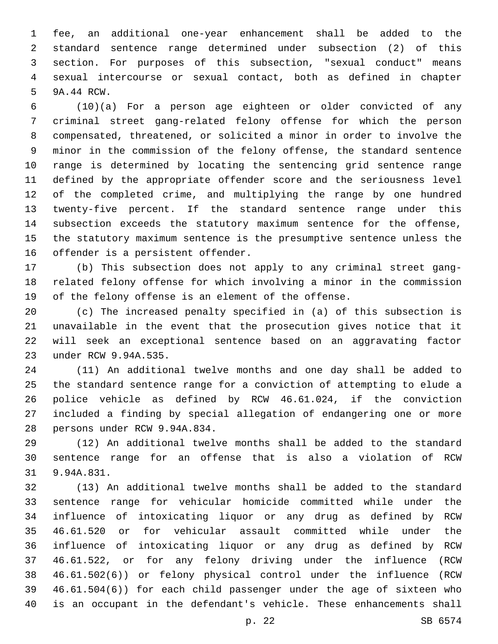fee, an additional one-year enhancement shall be added to the standard sentence range determined under subsection (2) of this section. For purposes of this subsection, "sexual conduct" means sexual intercourse or sexual contact, both as defined in chapter 5 9A.44 RCW.

 (10)(a) For a person age eighteen or older convicted of any criminal street gang-related felony offense for which the person compensated, threatened, or solicited a minor in order to involve the minor in the commission of the felony offense, the standard sentence range is determined by locating the sentencing grid sentence range defined by the appropriate offender score and the seriousness level of the completed crime, and multiplying the range by one hundred twenty-five percent. If the standard sentence range under this subsection exceeds the statutory maximum sentence for the offense, the statutory maximum sentence is the presumptive sentence unless the 16 offender is a persistent offender.

 (b) This subsection does not apply to any criminal street gang- related felony offense for which involving a minor in the commission of the felony offense is an element of the offense.

 (c) The increased penalty specified in (a) of this subsection is unavailable in the event that the prosecution gives notice that it will seek an exceptional sentence based on an aggravating factor 23 under RCW 9.94A.535.

 (11) An additional twelve months and one day shall be added to the standard sentence range for a conviction of attempting to elude a police vehicle as defined by RCW 46.61.024, if the conviction included a finding by special allegation of endangering one or more 28 persons under RCW 9.94A.834.

 (12) An additional twelve months shall be added to the standard sentence range for an offense that is also a violation of RCW 31 9.94A.831.

 (13) An additional twelve months shall be added to the standard sentence range for vehicular homicide committed while under the influence of intoxicating liquor or any drug as defined by RCW 46.61.520 or for vehicular assault committed while under the influence of intoxicating liquor or any drug as defined by RCW 46.61.522, or for any felony driving under the influence (RCW 46.61.502(6)) or felony physical control under the influence (RCW 46.61.504(6)) for each child passenger under the age of sixteen who is an occupant in the defendant's vehicle. These enhancements shall